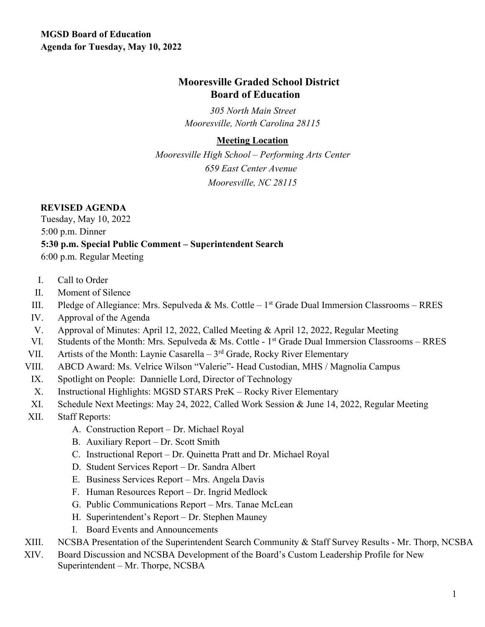# **Mooresville Graded School District Board of Education**

*305 North Main Street Mooresville, North Carolina 28115* 

#### **Meeting Location**

*Mooresville High School – Performing Arts Center 659 East Center Avenue Mooresville, NC 28115*

## **REVISED AGENDA**

Tuesday, May 10, 2022 5:00 p.m. Dinner **5:30 p.m. Special Public Comment – Superintendent Search** 6:00 p.m. Regular Meeting

- I. Call to Order
- II. Moment of Silence
- III. Pledge of Allegiance: Mrs. Sepulveda & Ms. Cottle 1<sup>st</sup> Grade Dual Immersion Classrooms RRES
- IV. Approval of the Agenda
- V. Approval of Minutes: April 12, 2022, Called Meeting & April 12, 2022, Regular Meeting
- VI. Students of the Month: Mrs. Sepulveda & Ms. Cottle 1<sup>st</sup> Grade Dual Immersion Classrooms RRES
- VII. Artists of the Month: Laynie Casarella  $3<sup>rd</sup>$  Grade, Rocky River Elementary
- VIII. ABCD Award: Ms. Velrice Wilson "Valerie"- Head Custodian, MHS / Magnolia Campus
- IX. Spotlight on People: Dannielle Lord, Director of Technology
- X. Instructional Highlights: MGSD STARS PreK Rocky River Elementary
- XI. Schedule Next Meetings: May 24, 2022, Called Work Session & June 14, 2022, Regular Meeting
- XII. Staff Reports:
	- A. Construction Report Dr. Michael Royal
	- B. Auxiliary Report Dr. Scott Smith
	- C. Instructional Report Dr. Quinetta Pratt and Dr. Michael Royal
	- D. Student Services Report Dr. Sandra Albert
	- E. Business Services Report Mrs. Angela Davis
	- F. Human Resources Report Dr. Ingrid Medlock
	- G. Public Communications Report Mrs. Tanae McLean
	- H. Superintendent's Report Dr. Stephen Mauney
	- I. Board Events and Announcements
- XIII. NCSBA Presentation of the Superintendent Search Community & Staff Survey Results Mr. Thorp, NCSBA
- XIV. Board Discussion and NCSBA Development of the Board's Custom Leadership Profile for New Superintendent – Mr. Thorpe, NCSBA